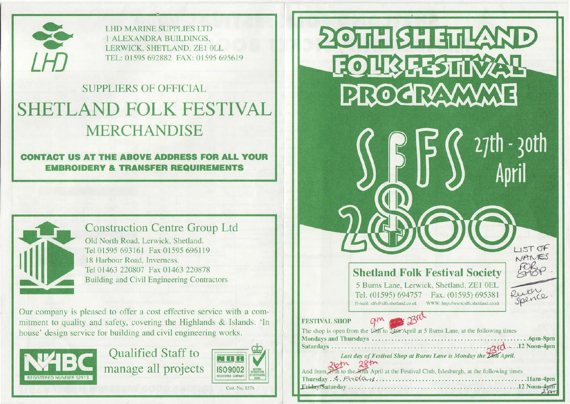

**LHD MARINE SUPPLIES LTD I ALEXANDRA BUILDINGS.** LERWICK, SHETLAND, ZE1 OLL TEL: 01595 692882 FAX: 01595 695619

## **SUPPLIERS OF OFFICIAL SHETLAND FOLK FESTIVAL MERCHANDISE**

**CONTACT US AT THE ABOVE ADDRESS FOR ALL YOUR EMBROIDERY & TRANSFER REQUIREMENTS** 



### **Construction Centre Group Ltd**

Old North Road, Lerwick, Shetland, Tel 01595 693161 Fax 01595 696119 18 Harbour Road, Inverness. Tel 01463 220807 Fax 01463 220878 Building and Civil Engineering Contractors

Our company is pleased to offer a cost effective service with a commitment to quality and safety, covering the Highlands & Islands. 'In house' design service for building and civil engineering works.



**Oualified Staff to** manage all projects



20TH SHETLAND **FOURFESTINAL** PROGRAMME  $27th - 30th$ LIST OF NANES **Shetland Folk Festival Society** 5 Burns Lane, Lerwick, Shetland, ZE1 OEL Ruthe Tel. (01595) 694757 Fax. (01595) 695381

E-mail: sffs@sffs.shetland.co.uk WWW: http://www.sffs.shetland.co.uk



**FESTIVAL SHOP** The shop is open from

| The shop is open from the 10th to 24th April at 5 Burns Lane, at the following times |  |
|--------------------------------------------------------------------------------------|--|
|                                                                                      |  |
|                                                                                      |  |

Last day of Festival Shop at Burns Lane is Monday the 24th April.

| And from 27th to the 20th April at the Festival Club, Islesburgh, at the following times |  |
|------------------------------------------------------------------------------------------|--|
|                                                                                          |  |
|                                                                                          |  |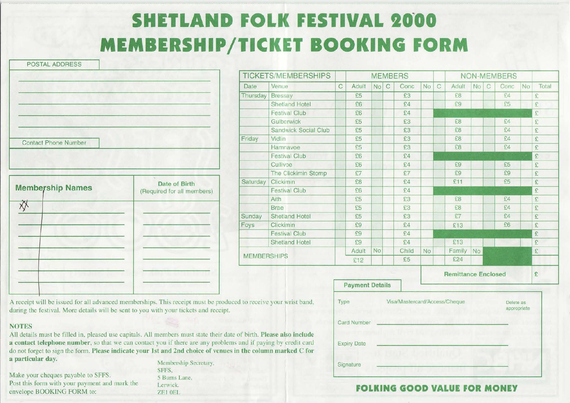# **SHETLAND FOLK FESTIVAL 2000 MEMBERSHIP/TICKET BOOKING FORM**

POSTAL ADDRESS

|                             | <b>INVIVE LO/IVIL</b> |                                |
|-----------------------------|-----------------------|--------------------------------|
|                             | Date                  | Venue                          |
|                             | Thursday              | <b>Bress</b>                   |
|                             |                       | Shetla                         |
|                             |                       | Festiv                         |
|                             |                       | Gulbe                          |
|                             |                       | Sand                           |
| <b>Contact Phone Number</b> | Friday                | Vidlin                         |
|                             |                       | Hamn                           |
|                             |                       | Festiv                         |
|                             |                       | Company and state and the com- |

|                         | Date of Birth               | Saturday          | <b>Click</b> |
|-------------------------|-----------------------------|-------------------|--------------|
| <b>Membership Names</b> | (Required for all members). |                   | Festi        |
|                         |                             |                   | Aith         |
|                         |                             |                   | <b>Brae</b>  |
|                         |                             | Sunday            | Shetl        |
|                         |                             | Foys              | Clicki       |
|                         |                             |                   | Festi        |
|                         |                             |                   | Shetl        |
|                         |                             | <b>MEMBERSHIP</b> |              |
|                         |                             |                   |              |
|                         |                             |                   |              |
|                         |                             |                   |              |

|                                          |                    | <b>TICKETS/MEMBERSHIPS</b> |             |                        |           |             | <b>MEMBERS</b> |    |             |                            |    |              | <b>NON-MEMBERS</b> |    |                      |
|------------------------------------------|--------------------|----------------------------|-------------|------------------------|-----------|-------------|----------------|----|-------------|----------------------------|----|--------------|--------------------|----|----------------------|
|                                          | Date               | Venue                      | $\mathbb C$ | Adult                  | No        | $\mathbb C$ | Conc           | No | $\mathbf C$ | Adult                      | No | $\mathbb{C}$ | Conc               | No | Total                |
|                                          | Thursday           | <b>Bressay</b>             |             | £5                     |           |             | £3             |    |             | £8                         |    |              | £4                 |    | £                    |
|                                          |                    | Shetland Hotel             |             | £6                     |           |             | £4             |    |             | £9                         |    |              | £5                 |    | £                    |
|                                          |                    | <b>Festival Club</b>       |             | £6                     |           |             | £4             |    |             |                            |    |              |                    |    | £                    |
|                                          |                    | Gulberwick                 |             | £5                     |           |             | £3             |    |             | £8                         |    |              | £4                 |    | £                    |
|                                          |                    | Sandwick Social Club       |             | £5                     |           |             | £3             |    |             | £8                         |    |              | £4                 |    | £                    |
|                                          | Friday             | Vidlin                     |             | £5                     |           |             | £3             |    |             | £8                         |    |              | £4                 |    | £                    |
|                                          |                    | Hamnavoe                   |             | £5                     |           |             | £3             |    |             | £8                         |    |              | E4                 |    | £                    |
|                                          |                    | <b>Festival Club</b>       |             | £6                     |           |             | £4             |    |             |                            |    |              |                    |    | £                    |
|                                          |                    | Cullivoe                   |             | £6                     |           |             | E4             |    |             | £9                         |    |              | £5                 |    | £                    |
|                                          |                    | The Clickimin Stomp        |             | £7                     |           |             | E7             |    |             | £9                         |    |              | £9                 |    | £                    |
| Date of Birth<br>uired for all members). | Saturday           | Clickimin                  |             | E8                     |           |             | E4             |    |             | £11                        |    |              | £5                 |    | £                    |
|                                          |                    | <b>Festival Club</b>       |             | £6                     |           |             | £4             |    |             |                            |    |              |                    |    | £                    |
|                                          |                    | Aith                       |             | £5                     |           |             | £3             |    |             | £8                         |    |              | E4                 |    | £                    |
|                                          |                    | <b>Brae</b>                |             | £5                     |           |             | £3             |    |             | £8                         |    |              | £4                 |    | £                    |
|                                          | Sunday             | <b>Shetland Hotel</b>      |             | £5                     |           |             | £3             |    |             | £7                         |    |              | £4                 |    | £                    |
|                                          | Foys               | Clickimin                  |             | £9                     |           |             | 54             |    |             | £13                        |    |              | £6                 |    | £                    |
|                                          |                    | <b>Festival Club</b>       |             | £9                     |           |             | £4             |    |             |                            |    |              |                    |    | $\mathfrak{L}% _{G}$ |
|                                          |                    | <b>Shetland Hotel</b>      |             | £9                     |           |             | f4             |    |             | £13                        |    |              |                    |    | £                    |
|                                          |                    |                            |             | Adult                  | <b>No</b> |             | Child          | No |             | Family                     | No |              |                    |    | £                    |
|                                          | <b>MEMBERSHIPS</b> |                            |             | £12                    |           |             | £5             |    |             | £24                        |    |              |                    |    |                      |
|                                          |                    |                            |             |                        |           |             |                |    |             | <b>Remittance Enclosed</b> |    |              |                    |    | £                    |
|                                          |                    |                            |             | <b>Payment Details</b> |           |             |                |    |             |                            |    |              |                    |    |                      |

A receipt will be issued for all advanced memberships. This receipt must be produced to receive your wrist band, during the festival. More details will be sent to you with your tickets and receipt.

#### **NOTES**

All details must be filled in, pleased use capitals. All members must state their date of birth. Please also include a contact telephone number, so that we can contact you if there are any problems and if paying by credit card do not forget to sign the form. Please indicate your 1st and 2nd choice of venues in the column marked C for a particular day.

Make your cheques payable to SFFS. Post this form with your payment and mark the envelope BOOKING FORM to:

Membership Secretary, SFFS, 5 Burns Lane, **Lerwick** ZEI OEL

| Type               | Visa/Mastercard/Access/Cheque | Delete as<br>appropriate |
|--------------------|-------------------------------|--------------------------|
| <b>Card Number</b> |                               |                          |
| <b>Expiry Date</b> |                               |                          |
| Signature          |                               |                          |

#### **FOLKING GOOD VALUE FOR MONEY**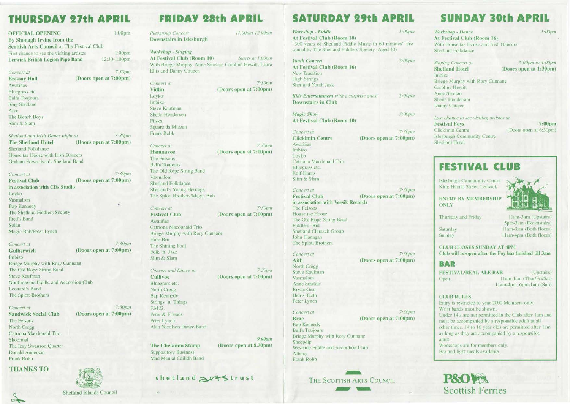### **THURSDAY 27th APRIL**

| <b>OFFICIAL OPENING</b>                    | 1:00 <sub>pm</sub> |
|--------------------------------------------|--------------------|
| By Shonagh Irvine from the                 |                    |
| Scottish Arts Council at The Festival Club |                    |
| First chance to see the visiting artistes  | 1:00 <sub>pm</sub> |
| Lerwick British Legion Pipe Band           | 12:30-1:00pm       |

*7.JOpm* 

(Doors open at 7:00pm)

*Concert* ar Bressay Hall Awatiñas Bluegrass etc. Balfa Toujours Sing Shetland Arco The Bleach Boys Slim & Slam

*Shetland and Irish Dance night at* 7:30pm The Shetland Hotel (Doors open at 7:00pm) Shetland Folkdance House tae Hoose with Irish Dancers Graham Edwardson 's Shetland Band

Concert at Festival Club in association with CDs Studio Loyko Vasmalom Bap Kennedy The Shetland Fiddlers Society Fred's Band Solan Magic Bob/Peter Lynch *7:30pm*  (Doors open at 7:00pm)

*7:30pm*  (Doors open at 7:00pm) Briege Murphy with Rory Cunnane

The Old Rope String Band Steve Kaufman Northmavine Fiddle and Accordion Club Leonard's Band The Splott Brothers

*Co11cer1* ar Sandwick Social Club The Felsons North Cregg Catriona Macdonald Trio Shoormal

*Concen al*  Gulberwick lmbizo

The Izzy Swanson Quartet Donald Anderson Frank Robb

#### THANKS TO



| <b>Shetland Islands Council</b> |
|---------------------------------|

### **FRIBAV GOAL ARRIL**

| РАУ ХОТН                                                  |                        |
|-----------------------------------------------------------|------------------------|
| Playgroup Concert                                         | 11.00am-12.00pm        |
| Downstairs in Islesburgh                                  |                        |
|                                                           |                        |
| Workshop - Singing                                        |                        |
| At Festival Club (Room 10)                                | Starts at 1.00pm       |
| With Briege Murphy, Anne Sinclair, Caroline Hewitt, Laura |                        |
| Ellis and Danny Couper.                                   |                        |
| Concert at                                                | 7:30pm                 |
| Vidlin                                                    | (Doors open at 7:00pm) |
| Loyko                                                     |                        |
| Imbizo                                                    |                        |
| Steve Kaufman                                             |                        |
| Sheila Henderson                                          |                        |
| Filska                                                    |                        |
| Square da Mizzen                                          |                        |
| Frank Robb                                                |                        |
|                                                           |                        |
| Concert at                                                | 7:30pm                 |
| Hamnavoe                                                  | (Doors open at 7:00pm) |
| The Felsons                                               |                        |
| <b>Balfa Toujours</b>                                     |                        |
| The Old Rope String Band<br>Vasmalom                      |                        |
| <b>Shetland Folkdance</b>                                 |                        |
| Shetland's Young Heritage                                 |                        |
| The Splott Brothers/Magic Bob                             |                        |
|                                                           |                        |
| Concert at                                                | 7:30pm                 |
| <b>Festival Club</b>                                      | (Doors open at 7:00pm) |
| Awatiñas                                                  |                        |
| Catriona Macdonald Trio                                   |                        |
| Briege Murphy with Rory Cunnane                           |                        |
| Hom Bru                                                   |                        |
| The Shining Pool                                          |                        |
| Folk 'n' Jazz<br>Slim & Slam                              |                        |
|                                                           |                        |
| Concert and Dance at                                      | 7:30pm                 |
| Cullivoe                                                  | (Doors open at 7:00pm) |
| Bluegrass etc.                                            |                        |
| North Cregg                                               |                        |
| <b>Bap Kennedy</b>                                        |                        |
| Strings 'n' Things                                        |                        |
| F.M.G.                                                    |                        |
| Peter & Friends                                           |                        |
| Peter Lynch                                               |                        |
| Alan Nicolson Dance Band                                  |                        |
|                                                           |                        |
|                                                           | 9.00pm                 |
| <b>The Clickimin Stomp</b><br><b>Suppository Business</b> | (Doors open at 8.30pm) |
| Mad Mental Ceilidh Band                                   |                        |
|                                                           |                        |

### shetland artstrust

*9.00pm*   $(pm)$ 

### **SATURDAY 29th APRIL**

*Workshop* - *Fiddle /:OOpm*  At Festival Club (Room 10) "300 years of Shetland Fiddle Music in 60 minutes" presented by The Shetland Fiddlers Society (Aged 40) *Youth Concert*  At Festival Club (Room 16) New Tradition **High Strings** Shetland Youth Jazz *Kids Entertainment with a surprise guest* Downstairs in Club *Magic Slrow*  At Festival Club (Room 10) 2:00pm *2:00pm 3:00pm Concert at*  Clickimin Centre Awatiñas *7:30pm*  (Doors open at 7:00pm) Imbizo Loyko Catriona Macdonald Trio Bluegrass etc. Rolf Harris Slim & Slam *Concert at 7:30pm*  Festival Club (Doors open at 7:00pm) in association with Veesik Records The Fclsons House tae Hoose The Old Rope String Band Fiddlers' Bid Shetland Clarsach Group John Flanagan The Splott Brothers *Concert at*  Aith North Cregg Steve Kaufman Yasmalom Anne Sinclair Bryan Gear Hen's Teeth Peter Lynch *Concert at*  Brae Bap Kennedy Balfa Toujours *7:30pm*  (Doors open at 7:00pm) *7:30pm*  (Doors open at 7:00pm) Briege Murphy with Rory Cunnane Sheepdip Westside Fiddle and Accordion Club Albany Frank Robb



### **SUNDAY 30th APRI**

*Workshop* - *Dance*  At Festival Club (Room 16) With House tae Hoose and Irish Dancers Shetland Folkdance *J:OOp111 Singing Concert at*  Shetland Hotel lmbi zo *2:00pm to -l:OOpm*  (Doors open at 1:30pm) Bricgc Murphy with Rory Cunnane Caroline Hewitt Anne Sinclair Sheila Henderson Danny Couper *Last chance to see visiting artistes at* **Festival Foys** 7:00pm<br>Clickimin Centre (Doors open at 6:30pm) (Doors open at 6:30pm) lslcsburgh Community Centre Shetland Hotel

### **FESTIVAL CLUB**

lslesburgh Community Centre King Harald Street. Lerwick

ENTRY BY MEMBERSHIP ONLY



Thursday and Friday

Saturday Sunday

11 am-3am (Upstairs) 5pm-3am (Downstairs) 11 am-3am (Both floors) J Jam-4pm (Both floors)

CLUB CLOSES SUNDAY AT 4PM Club will re-open after the Foy has finished till 3am

#### **BAR**

FESTIVAL/REAL ALE BAR (Upstairs) Open 11am-1am (Thur/Fri/Sat) 11 am-4pm. 6pm- I am (Sun)

#### CLUB RULES

Entry is restricted to year *2000* Members only. Wrist bands must be shown. Under 14's arc not permitted in the Club after Jam and must be accompanied by a responsible adult at all other times. 14 to 16 year olds are permitted after 1am as long as they arc accompanied by a responsible adult. Workshops are for members only. Bar and light meals available.



*7:30pm* 

(Doors open at 7:00pm)